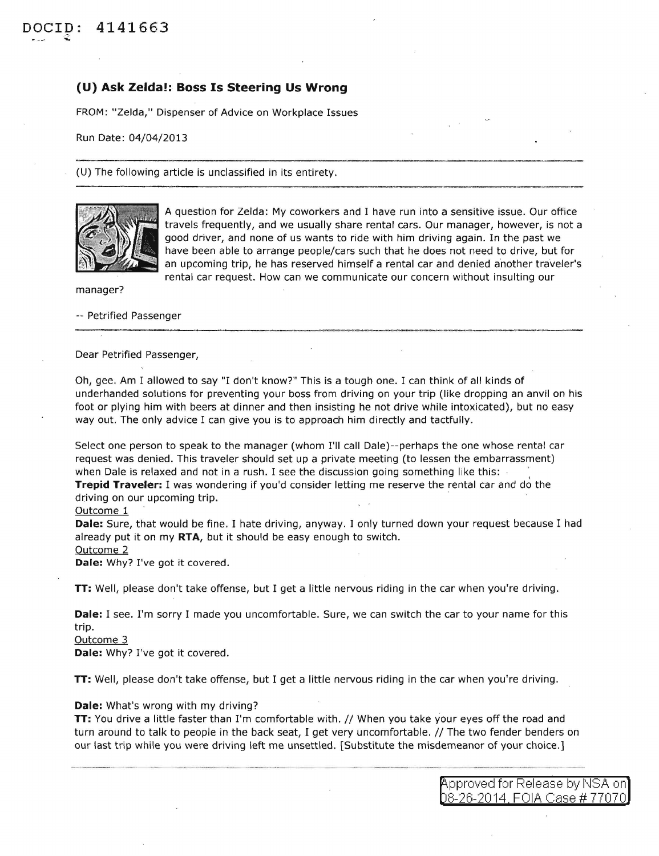## **(U) Ask Zelda!: Boss Is Steering Us Wrong**

FROM: "Zelda," Dispenser of Advice on Workplace Issues

Run Date: 04/04/2013

{U) The following article is unclassified in its entirety.



A question for Zelda: My coworkers and I have run into a sensitive issue. Our office travels frequently, and we usually share rental cars. Our manager, however, is not a good driver, and none of us wants to ride with him driving again. In the past we have been able to arrange people/cars such that he does not need to drive, but for an upcoming trip, he has reserved himself a rental car and denied another traveler's rental car request. How can we communicate our concern without insulting our

manager?

-- Petrified Passenger

Dear Petrified Passenger,

Oh, gee. Am I allowed to say "I don't know?" This is a tough one. I can think of all kinds of underhanded solutions for preventing your boss from driving on your trip (like dropping an anvil on his foot or plying him with beers at dinner and then insisting he not drive while intoxicated), but no easy way out. The only advice I can give you is to approach him directly and tactfully.

Select one person to speak to the manager (whom I'll call Dale)--perhaps the one whose rental car request was denied. This traveler should set up a private meeting (to lessen the embarrassment) when Dale is relaxed and not in a rush. I see the discussion going something like this:

**Trepid Traveler:** I was wondering if you'd consider letting me reserve the rental car and do the driving on our upcoming trip.

## Outcome 1

**Dale:** Sure, that would be fine. I hate driving, anyway. I only turned down your request because I had already put it on my **RTA,** but it should be easy enough to switch.

Outcome 2

**Dale:** Why? I've got it covered.

**TT:** Well, please don't take offense, but I get a little nervous riding in the car when you're driving.

**Dale:** I see. I'm sorry I made you uncomfortable. Sure, we can switch the car to your name for this trip.

Outcome 3

**Dale:** Why? I've got it covered.

**TT:** Well, please don't take offense, but I get a little nervous riding in the car when you're driving.

## **Dale:** What's wrong with my driving?

**TT:** You drive a little faster than I'm comfortable with. // When you take your eyes off the road and turn around to talk to people in the back seat, I get very uncomfortable. //The two fender benders on our last trip while you were driving left me unsettled. [Substitute the misdemeanor of your choice.]